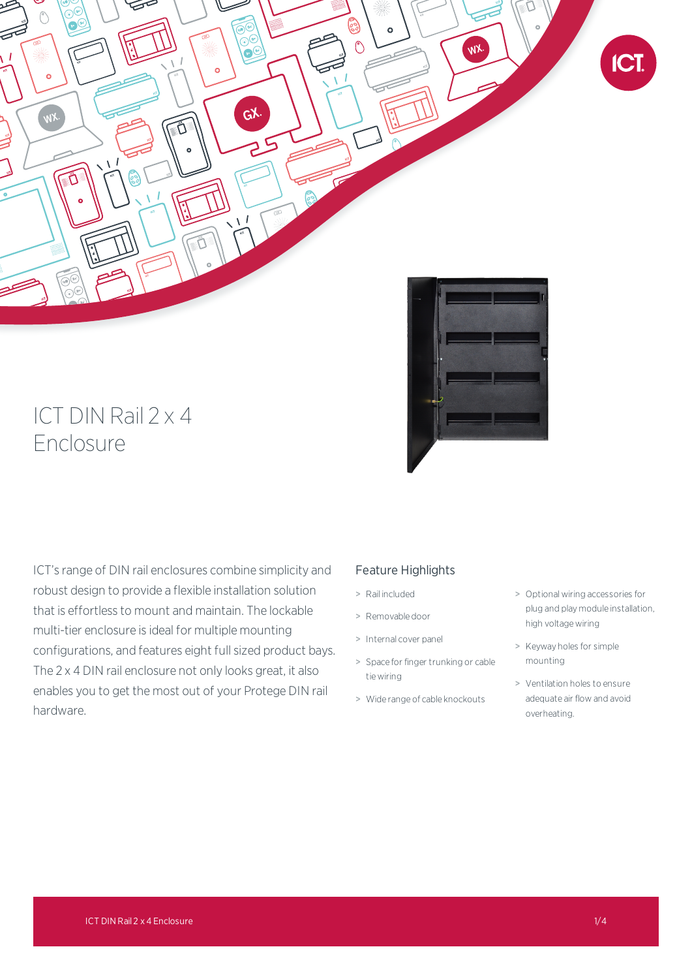

# ICT DIN Rail 2 x 4 Enclosure



ICT's range of DIN rail enclosures combine simplicity and robust design to provide a flexible installation solution that is effortless to mount and maintain. The lockable multi-tier enclosure is ideal for multiple mounting configurations, and features eight full sized product bays. The 2 x 4 DIN rail enclosure not only looks great, it also enables you to get the most out of your Protege DIN rail hardware.

# Feature Highlights

- > Rail included
- > Removable door
- > Internal cover panel
- > Space for finger trunking or cable tie wiring
- > Wide range of cable knockouts
- > Optional wiring accessories for plug and play module installation, high voltage wiring
- > Keyway holes for simple mounting
- > Ventilation holes to ensure adequate air flow and avoid overheating.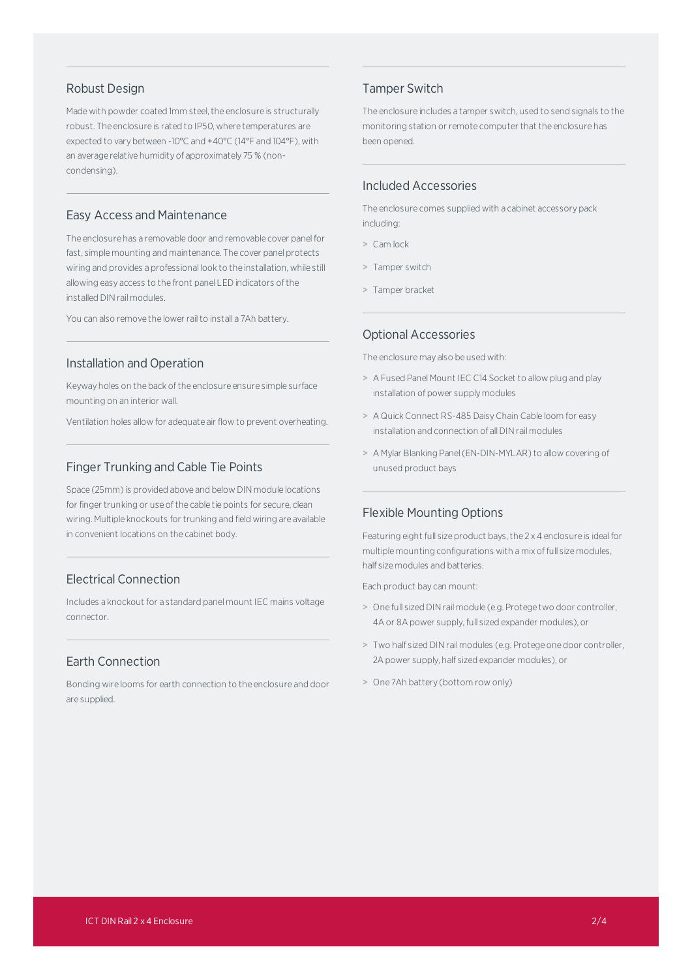#### Robust Design

Made with powder coated 1mm steel, the enclosure is structurally robust. The enclosure is rated to IP50, where temperatures are expected to vary between -10°C and +40°C (14°F and 104°F), with an average relative humidity of approximately 75 % (noncondensing).

# Easy Access and Maintenance

The enclosure has a removable door and removable cover panelfor fast, simple mounting and maintenance. The cover panel protects wiring and provides a professional look to the installation, while still allowing easy access to the front panel LED indicators ofthe installed DIN rail modules.

You can also remove the lower rail to install a 7Ah battery.

### Installation and Operation

Keyway holes on the back of the enclosure ensure simple surface mounting on an interior wall.

Ventilation holes allow for adequate air flow to prevent overheating.

#### Finger Trunking and Cable Tie Points

Space (25mm) is provided above and below DIN module locations for finger trunking or use of the cable tie points for secure, clean wiring. Multiple knockouts for trunking and field wiring are available in convenient locations on the cabinet body.

# Electrical Connection

Includes a knockout for a standard panel mount IEC mains voltage connector.

# Earth Connection

Bonding wire looms for earth connection to the enclosure and door are supplied.

# Tamper Switch

The enclosure includes a tamper switch, used to send signals to the monitoring station or remote computer that the enclosure has been opened.

# Included Accessories

The enclosure comes supplied with a cabinet accessory pack including:

- > Cam lock
- > Tamper switch
- > Tamper bracket

#### Optional Accessories

The enclosure may also be used with:

- > A Fused Panel Mount IEC C14 Socket to allow plug and play installation of power supply modules
- > A Quick Connect RS-485 DaisyChain Cable loom for easy installation and connection of all DIN rail modules
- > A Mylar Blanking Panel(EN-DIN-MYLAR) to allow covering of unused product bays

#### Flexible Mounting Options

Featuring eight full size product bays, the 2 x 4 enclosure is ideal for multiple mounting configurations with a mix of full size modules, half size modules and batteries.

Each product bay can mount:

- > One full sized DINrail module (e.g. Protege two door controller, 4A or 8A power supply, full sized expander modules), or
- > Two half sized DINrail modules (e.g. Protege one door controller, 2A power supply, half sized expander modules), or
- > One 7Ah battery (bottom row only)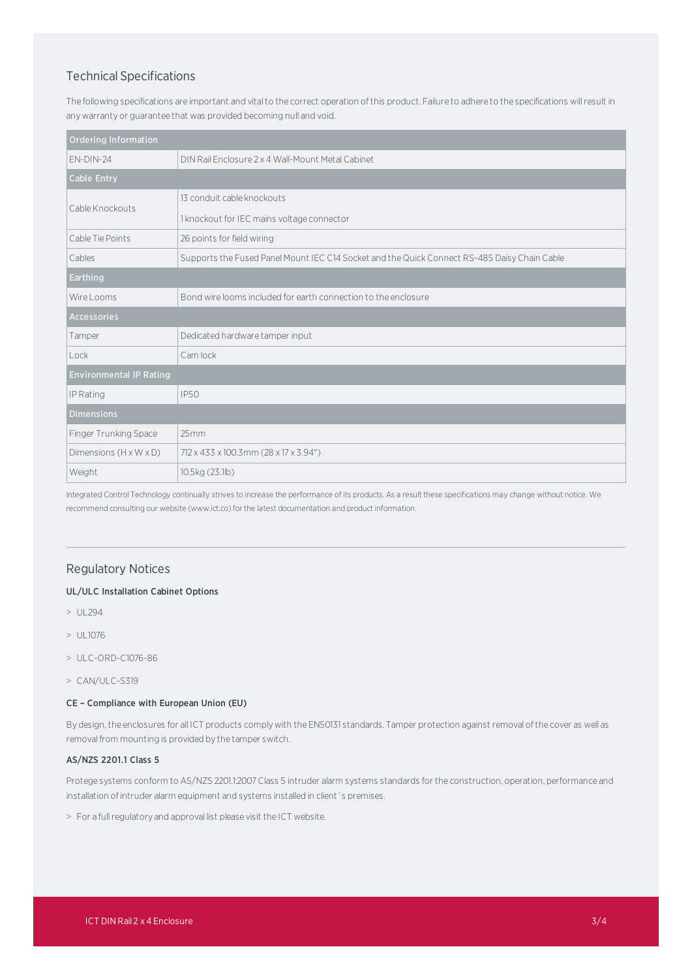# Technical Specifications

The following specifications are important and vital to the correct operation of this product. Failure to adhere to the specifications will result in any warranty or guarantee that was provided becoming null and void.

| <b>Ordering Information</b>        |                                                                                              |
|------------------------------------|----------------------------------------------------------------------------------------------|
| $FN-DIN-24$                        | DIN Rail Enclosure 2 x 4 Wall-Mount Metal Cabinet                                            |
| <b>Cable Entry</b>                 |                                                                                              |
| Cable Knockouts                    | 13 conduit cable knockouts                                                                   |
|                                    | 1 knockout for IEC mains voltage connector                                                   |
| Cable Tie Points                   | 26 points for field wiring                                                                   |
| Cables                             | Supports the Fused Panel Mount IEC C14 Socket and the Quick Connect RS-485 Daisy Chain Cable |
| <b>Earthing</b>                    |                                                                                              |
| Wire Looms                         | Bond wire looms included for earth connection to the enclosure                               |
| <b>Accessories</b>                 |                                                                                              |
| Tamper                             | Dedicated hardware tamper input                                                              |
| Lock                               | Cam lock                                                                                     |
| <b>Environmental IP Rating</b>     |                                                                                              |
| IP Rating                          | <b>IP50</b>                                                                                  |
| <b>Dimensions</b>                  |                                                                                              |
| Finger Trunking Space              | 25mm                                                                                         |
| Dimensions $(H \times W \times D)$ | 712 x 433 x 100.3mm (28 x 17 x 3.94")                                                        |
| Weight                             | 10.5kg (23.1lb)                                                                              |

Integrated Control Technology continually strives to increase the performance of its products. As a result these specifications may change without notice. We recommend consulting our website (www.ict.co) for the latest documentation and product information.

# Regulatory Notices

#### UL/ULC Installation Cabinet Options

- > UL294
- > UL1076
- > ULC-ORD-C1076-86
- > CAN/ULC-S319

#### CE – Compliance with European Union (EU)

By design,the enclosures for all ICT products complywith the EN50131 standards. Tamper protection against removal ofthe cover as well as removal from mounting is provided by the tamper switch.

#### AS/NZS 2201.1 Class 5

Protege systems conform to AS/NZS 2201.1:2007Class 5 intruder alarm systems standards for the construction, operation, performance and installation of intruder alarm equipment and systems installed in client `s premises.

> For a fullregulatory and approval list please visit the ICT website.